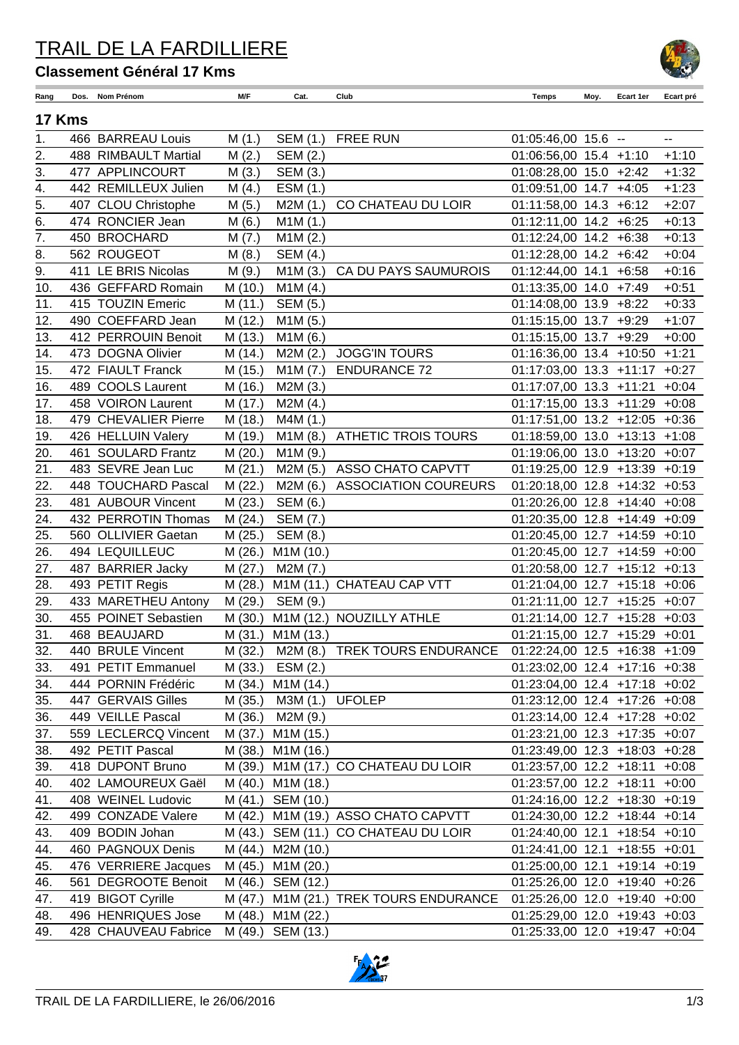### TRAIL DE LA FARDILLIERE

#### **Classement Général 17 Kms**

| Rang             | Dos.   | Nom Prénom           | M/F     | Cat.                   | Club                                   | Temps                           | Moy. | Ecart 1er | Ecart pré                |
|------------------|--------|----------------------|---------|------------------------|----------------------------------------|---------------------------------|------|-----------|--------------------------|
|                  | 17 Kms |                      |         |                        |                                        |                                 |      |           |                          |
| 1.               |        | 466 BARREAU Louis    | M(1.)   | SEM (1.)               | <b>FREE RUN</b>                        | 01:05:46,00 15.6 --             |      |           | $\overline{\phantom{a}}$ |
| 2.               |        | 488 RIMBAULT Martial | M(2.)   | SEM (2.)               |                                        | $01:06:56,00$ 15.4 +1:10        |      |           | $+1:10$                  |
| 3.               |        | 477 APPLINCOURT      | M(3.)   | SEM (3.)               |                                        | $01:08:28,00$ 15.0 +2:42        |      |           | $+1:32$                  |
| 4.               |        | 442 REMILLEUX Julien | M(4.)   | ESM (1.)               |                                        | 01:09:51,00 14.7 +4:05          |      |           | $+1:23$                  |
| 5.               |        | 407 CLOU Christophe  | M(5.)   | M2M(1.)                | CO CHATEAU DU LOIR                     | 01:11:58,00 14.3 +6:12          |      |           | $+2:07$                  |
| 6.               |        | 474 RONCIER Jean     | M(6.)   | M1M (1.)               |                                        | 01:12:11,00 14.2 +6:25          |      |           | $+0:13$                  |
| $\overline{7}$ . |        | 450 BROCHARD         | M(7.)   | M1M(2.)                |                                        | 01:12:24,00 14.2 +6:38          |      |           | $+0:13$                  |
| 8.               |        | 562 ROUGEOT          | M(8.)   | <b>SEM (4.)</b>        |                                        | 01:12:28,00 14.2 +6:42          |      |           | $+0:04$                  |
| 9.               |        | 411 LE BRIS Nicolas  | M(9.)   | M1M(3.)                | CA DU PAYS SAUMUROIS                   | 01:12:44,00 14.1 +6:58          |      |           | $+0:16$                  |
| 10.              |        | 436 GEFFARD Romain   | M (10.) | M1M(4.)                |                                        | 01:13:35,00 14.0 +7:49          |      |           | $+0:51$                  |
| 11.              |        | 415 TOUZIN Emeric    | M(11.)  | SEM (5.)               |                                        | 01:14:08,00 13.9 +8:22          |      |           | $+0:33$                  |
| 12.              |        | 490 COEFFARD Jean    | M (12.) | M1M(5.)                |                                        | 01:15:15,00 13.7 +9:29          |      |           | $+1:07$                  |
| 13.              |        | 412 PERROUIN Benoit  | M(13.)  | M1M(6.)                |                                        | 01:15:15,00 13.7 +9:29          |      |           | $+0:00$                  |
| 14.              |        | 473 DOGNA Olivier    | M (14.) | M2M(2.)                | <b>JOGG'IN TOURS</b>                   | 01:16:36,00 13.4 +10:50 +1:21   |      |           |                          |
| 15.              |        | 472 FIAULT Franck    | M (15.) | M1M(7.)                | <b>ENDURANCE 72</b>                    | 01:17:03,00 13.3 +11:17 +0:27   |      |           |                          |
| 16.              |        | 489 COOLS Laurent    | M (16.) | M2M(3.)                |                                        | $01:17:07,00$ 13.3 +11:21       |      |           | $+0:04$                  |
| 17.              |        | 458 VOIRON Laurent   | M (17.) | M2M(4.)                |                                        | 01:17:15,00 13.3 +11:29 +0:08   |      |           |                          |
| 18.              |        | 479 CHEVALIER Pierre | M (18.) | M4M (1.)               |                                        | 01:17:51,00 13.2 +12:05 +0:36   |      |           |                          |
| 19.              |        | 426 HELLUIN Valery   | M (19.) | M1M (8.)               | <b>ATHETIC TROIS TOURS</b>             | 01:18:59,00 13.0 +13:13 +1:08   |      |           |                          |
| 20.              |        | 461 SOULARD Frantz   | M(20.)  | M1M(9.)                |                                        | 01:19:06,00 13.0 +13:20 +0:07   |      |           |                          |
| 21.              |        | 483 SEVRE Jean Luc   | M(21.)  | M2M (5.)               | <b>ASSO CHATO CAPVTT</b>               | 01:19:25,00 12.9 +13:39 +0:19   |      |           |                          |
| 22.              |        | 448 TOUCHARD Pascal  | M(22.)  | M2M (6.)               | <b>ASSOCIATION COUREURS</b>            | 01:20:18,00 12.8 +14:32 +0:53   |      |           |                          |
| 23.              |        | 481 AUBOUR Vincent   | M(23.)  | SEM (6.)               |                                        | 01:20:26,00 12.8 +14:40 +0:08   |      |           |                          |
| 24.              |        | 432 PERROTIN Thomas  | M(24.)  | SEM (7.)               |                                        | 01:20:35,00 12.8 +14:49 +0:09   |      |           |                          |
| 25.              |        | 560 OLLIVIER Gaetan  | M(25.)  | SEM (8.)               |                                        | 01:20:45,00 12.7 +14:59 +0:10   |      |           |                          |
| 26.              |        | 494 LEQUILLEUC       | M(26.)  | M1M (10.)              |                                        | 01:20:45,00 12.7 +14:59 +0:00   |      |           |                          |
| 27.              |        | 487 BARRIER Jacky    | M(27.)  | M2M (7.)               |                                        | 01:20:58,00 12.7 +15:12 +0:13   |      |           |                          |
| 28.              |        | 493 PETIT Regis      | M(28.)  |                        | M1M (11.) CHATEAU CAP VTT              | 01:21:04,00 12.7 +15:18 +0:06   |      |           |                          |
| 29.              |        | 433 MARETHEU Antony  | M(29.)  | SEM (9.)               |                                        | 01:21:11,00 12.7 +15:25 +0:07   |      |           |                          |
| 30.              |        | 455 POINET Sebastien | M(30.)  | M1M (12.)              | NOUZILLY ATHLE                         | 01:21:14,00 12.7 +15:28 +0:03   |      |           |                          |
| 31.              |        | 468 BEAUJARD         | M(31.)  | M1M (13.)              |                                        | 01:21:15,00 12.7 +15:29 +0:01   |      |           |                          |
| 32.              |        | 440 BRULE Vincent    |         |                        | M (32.) M2M (8.) TREK TOURS ENDURANCE  | 01:22:24,00 12.5 +16:38 +1:09   |      |           |                          |
| 33.              |        | 491 PETIT Emmanuel   | M (33.) | ESM(2.)                |                                        | 01:23:02,00 12.4 +17:16 +0:38   |      |           |                          |
| 34.              |        | 444 PORNIN Frédéric  | M (34.) | M <sub>1</sub> M (14.) |                                        | $01:23:04,00$ 12.4 +17:18 +0:02 |      |           |                          |
| 35.              |        | 447 GERVAIS Gilles   | M (35.) | M3M (1.) UFOLEP        |                                        | 01:23:12,00 12.4 +17:26 +0:08   |      |           |                          |
| 36.              |        | 449 VEILLE Pascal    | M (36.) | M2M (9.)               |                                        | 01:23:14,00 12.4 +17:28 +0:02   |      |           |                          |
| 37.              |        | 559 LECLERCQ Vincent |         | M (37.) M1M (15.)      |                                        | 01:23:21,00 12.3 +17:35 +0:07   |      |           |                          |
| 38.              |        | 492 PETIT Pascal     | M (38.) | M1M (16.)              |                                        | 01:23:49,00 12.3 +18:03 +0:28   |      |           |                          |
| 39.              |        | 418 DUPONT Bruno     | M (39.) |                        | M1M (17.) CO CHATEAU DU LOIR           | 01:23:57,00 12.2 +18:11 +0:08   |      |           |                          |
| 40.              |        | 402 LAMOUREUX Gaël   |         | M (40.) M1M (18.)      |                                        | 01:23:57,00 12.2 +18:11 +0:00   |      |           |                          |
| 41.              |        | 408 WEINEL Ludovic   |         | M (41.) SEM (10.)      |                                        | 01:24:16,00 12.2 +18:30 +0:19   |      |           |                          |
| 42.              |        | 499 CONZADE Valere   |         |                        | M (42.) M1M (19.) ASSO CHATO CAPVTT    | 01:24:30,00 12.2 +18:44 +0:14   |      |           |                          |
| 43.              |        | 409 BODIN Johan      |         |                        | M (43.) SEM (11.) CO CHATEAU DU LOIR   | $01:24:40,00$ 12.1 +18:54 +0:10 |      |           |                          |
| 44.              |        | 460 PAGNOUX Denis    | M (44.) | M2M (10.)              |                                        | $01:24:41,00$ 12.1 +18:55 +0:01 |      |           |                          |
| 45.              |        | 476 VERRIERE Jacques |         | M (45.) M1M (20.)      |                                        | 01:25:00,00 12.1 +19:14 +0:19   |      |           |                          |
| 46.              |        | 561 DEGROOTE Benoit  |         | M (46.) SEM (12.)      |                                        | 01:25:26,00 12.0 +19:40 +0:26   |      |           |                          |
| 47.              |        | 419 BIGOT Cyrille    |         |                        | M (47.) M1M (21.) TREK TOURS ENDURANCE | 01:25:26,00 12.0 +19:40 +0:00   |      |           |                          |
| 48.              |        | 496 HENRIQUES Jose   |         | M (48.) M1M (22.)      |                                        | 01:25:29,00 12.0 +19:43 +0:03   |      |           |                          |
| 49.              |        | 428 CHAUVEAU Fabrice |         | M (49.) SEM (13.)      |                                        | 01:25:33,00 12.0 +19:47 +0:04   |      |           |                          |



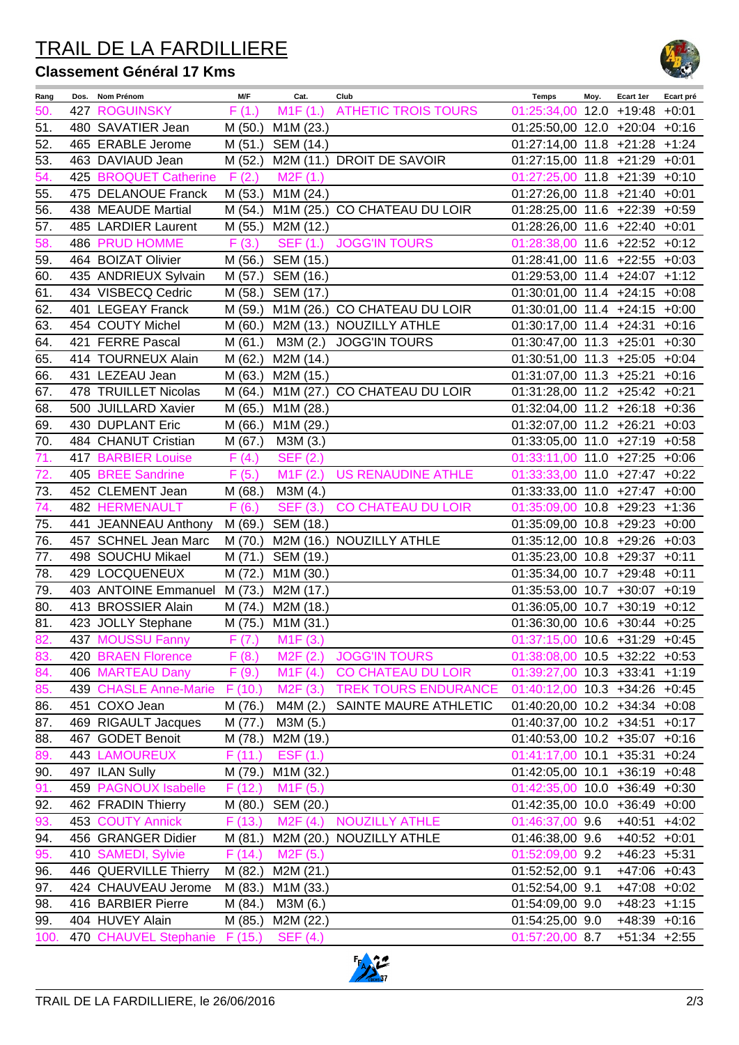# TRAIL DE LA FARDILLIERE

#### **Classement Général 17 Kms**



| Rang | Dos. Nom Prénom                        | M/F     | Cat.                  | Club                             | <b>Temps</b>                    | Moy. | Ecart 1er        | Ecart pré |
|------|----------------------------------------|---------|-----------------------|----------------------------------|---------------------------------|------|------------------|-----------|
| 50.  | <b>427 ROGUINSKY</b>                   | F(1.)   | M1F(1.)               | <b>ATHETIC TROIS TOURS</b>       | 01:25:34,00 12.0 +19:48 +0:01   |      |                  |           |
| 51.  | 480 SAVATIER Jean                      | M (50.) | M1M (23.)             |                                  | 01:25:50,00 12.0 +20:04 +0:16   |      |                  |           |
| 52.  | 465 ERABLE Jerome                      | M (51.) | SEM (14.)             |                                  | 01:27:14,00 11.8 +21:28 +1:24   |      |                  |           |
| 53.  | 463 DAVIAUD Jean                       | M(52.)  |                       | M2M (11.) DROIT DE SAVOIR        | 01:27:15,00 11.8 +21:29 +0:01   |      |                  |           |
| 54.  | 425 BROQUET Catherine                  | F(2.)   | M <sub>2</sub> F (1.) |                                  | $01:27:25,00$ 11.8 +21:39 +0:10 |      |                  |           |
| 55.  | 475 DELANOUE Franck                    | M (53.) | M1M (24.)             |                                  | 01:27:26,00 11.8 +21:40 +0:01   |      |                  |           |
| 56.  | 438 MEAUDE Martial                     | M (54.) |                       | M1M (25.) CO CHATEAU DU LOIR     | 01:28:25,00 11.6 +22:39 +0:59   |      |                  |           |
| 57.  | 485 LARDIER Laurent                    | M (55.) | M2M (12.)             |                                  | 01:28:26,00 11.6 +22:40 +0:01   |      |                  |           |
| 58.  | 486 PRUD HOMME                         | F(3.)   | <b>SEF (1.)</b>       | <b>JOGG'IN TOURS</b>             | $01:28:38,00$ 11.6 +22:52 +0:12 |      |                  |           |
| 59.  | 464 BOIZAT Olivier                     |         | M (56.) SEM (15.)     |                                  | 01:28:41,00 11.6 +22:55 +0:03   |      |                  |           |
| 60.  | 435 ANDRIEUX Sylvain                   | M (57.) | SEM (16.)             |                                  | 01:29:53,00 11.4 +24:07 +1:12   |      |                  |           |
| 61.  | 434 VISBECQ Cedric                     |         | M (58.) SEM (17.)     |                                  | 01:30:01,00 11.4 +24:15 +0:08   |      |                  |           |
| 62.  | 401 LEGEAY Franck                      | M (59.) |                       | M1M (26.) CO CHATEAU DU LOIR     | 01:30:01,00 11.4 +24:15 +0:00   |      |                  |           |
| 63.  | 454 COUTY Michel                       | M(60.)  |                       | M2M (13.) NOUZILLY ATHLE         | 01:30:17,00 11.4 +24:31 +0:16   |      |                  |           |
| 64.  | 421 FERRE Pascal                       | M(61.)  | M3M (2.)              | <b>JOGG'IN TOURS</b>             | 01:30:47,00 11.3 +25:01 +0:30   |      |                  |           |
| 65.  | 414 TOURNEUX Alain                     | M (62.) | M2M (14.)             |                                  | 01:30:51,00 11.3 +25:05 +0:04   |      |                  |           |
| 66.  | 431 LEZEAU Jean                        | M(63.)  | M2M (15.)             |                                  | 01:31:07,00 11.3 +25:21 +0:16   |      |                  |           |
| 67.  | 478 TRUILLET Nicolas                   | M(64.)  |                       | M1M (27.) CO CHATEAU DU LOIR     | 01:31:28,00 11.2 +25:42 +0:21   |      |                  |           |
| 68.  | 500 JUILLARD Xavier                    | M (65.) | M1M (28.)             |                                  | 01:32:04,00 11.2 +26:18 +0:36   |      |                  |           |
| 69.  | 430 DUPLANT Eric                       | M (66.) | M1M (29.)             |                                  | 01:32:07,00 11.2 +26:21 +0:03   |      |                  |           |
| 70.  | 484 CHANUT Cristian                    | M(67.)  | M3M (3.)              |                                  | 01:33:05,00 11.0 +27:19 +0:58   |      |                  |           |
| 71.  | <b>417 BARBIER Louise</b>              | F(4.)   | <b>SEF (2.)</b>       |                                  | 01:33:11,00 11.0 +27:25 +0:06   |      |                  |           |
| 72.  | 405 BREE Sandrine                      | F(5.)   | M1F(2.)               | <b>US RENAUDINE ATHLE</b>        | 01:33:33,00 11.0 +27:47 +0:22   |      |                  |           |
| 73.  | 452 CLEMENT Jean                       | M(68.)  | M3M (4.)              |                                  | 01:33:33,00 11.0 +27:47 +0:00   |      |                  |           |
| 74.  | <b>482 HERMENAULT</b>                  | F(6.)   | <b>SEF (3.)</b>       | CO CHATEAU DU LOIR               | 01:35:09,00 10.8 +29:23 +1:36   |      |                  |           |
| 75.  | 441 JEANNEAU Anthony                   |         | M (69.) SEM (18.)     |                                  | 01:35:09,00 10.8 +29:23 +0:00   |      |                  |           |
| 76.  | 457 SCHNEL Jean Marc                   | M (70.) |                       | M2M (16.) NOUZILLY ATHLE         | 01:35:12,00 10.8 +29:26 +0:03   |      |                  |           |
| 77.  | 498 SOUCHU Mikael                      |         | M (71.) SEM (19.)     |                                  | 01:35:23,00 10.8 +29:37 +0:11   |      |                  |           |
| 78.  | 429 LOCQUENEUX                         |         | M (72.) M1M (30.)     |                                  | 01:35:34,00 10.7 +29:48 +0:11   |      |                  |           |
| 79.  | 403 ANTOINE Emmanuel M (73.) M2M (17.) |         |                       |                                  | 01:35:53,00 10.7 +30:07 +0:19   |      |                  |           |
| 80.  | 413 BROSSIER Alain                     | M (74.) | M2M (18.)             |                                  | 01:36:05,00 10.7 +30:19 +0:12   |      |                  |           |
| 81.  | 423 JOLLY Stephane                     | M (75.) | M1M (31.)             |                                  | 01:36:30,00 10.6 +30:44 +0:25   |      |                  |           |
| 82.  | 437 MOUSSU Fanny                       |         | $F(7.)$ M1F $(3.)$    |                                  | 01:37:15,00 10.6 +31:29 +0:45   |      |                  |           |
| 83.  | 420 BRAEN Florence                     | F(8.)   | M2F(2.)               | <b>JOGG'IN TOURS</b>             | $01:38:08,00$ 10.5 +32:22 +0:53 |      |                  |           |
| 84.  | 406 MARTEAU Dany                       | F(9.)   | M1F(4.)               | CO CHATEAU DU LOIR               | $01:39:27,00$ 10.3 +33:41 +1:19 |      |                  |           |
| 85.  | 439 CHASLE Anne-Marie F (10.)          |         | M2F(3.)               | <b>TREK TOURS ENDURANCE</b>      | $01:40:12,00$ 10.3 +34:26 +0:45 |      |                  |           |
| 86.  | 451 COXO Jean                          | M (76.) | M4M (2.)              | SAINTE MAURE ATHLETIC            | 01:40:20,00 10.2 +34:34 +0:08   |      |                  |           |
| 87.  | 469 RIGAULT Jacques                    | M (77.) | M3M (5.)              |                                  | 01:40:37,00 10.2 +34:51 +0:17   |      |                  |           |
| 88.  | 467 GODET Benoit                       | M (78.) | M2M (19.)             |                                  | 01:40:53,00 10.2 +35:07 +0:16   |      |                  |           |
| 89.  | <b>443 LAMOUREUX</b>                   | F(11.)  | ESF (1.)              |                                  | $01:41:17,00$ 10.1 +35:31 +0:24 |      |                  |           |
| 90.  | 497 ILAN Sully                         | M (79.) | M1M (32.)             |                                  | 01:42:05,00 10.1 +36:19 +0:48   |      |                  |           |
| 91.  | 459 PAGNOUX Isabelle                   | F(12.)  | M <sub>1</sub> F (5.) |                                  | $01:42:35,00$ 10.0 +36:49 +0:30 |      |                  |           |
| 92.  | 462 FRADIN Thierry                     |         | M (80.) SEM (20.)     |                                  | 01:42:35,00 10.0 +36:49 +0:00   |      |                  |           |
| 93.  | 453 COUTY Annick                       | F(13.)  |                       | M2F (4.) NOUZILLY ATHLE          | 01:46:37,00 9.6                 |      | $+40:51$ $+4:02$ |           |
| 94.  | 456 GRANGER Didier                     |         |                       | M (81.) M2M (20.) NOUZILLY ATHLE | 01:46:38,00 9.6                 |      | $+40:52$ $+0:01$ |           |
| 95.  | 410 SAMEDI, Sylvie                     | F(14.)  | M2F (5.)              |                                  | 01:52:09,00 9.2                 |      | $+46:23$ $+5:31$ |           |
| 96.  | 446 QUERVILLE Thierry                  |         | M (82.) M2M (21.)     |                                  | 01:52:52,00 9.1                 |      | $+47:06$ +0:43   |           |
| 97.  | 424 CHAUVEAU Jerome                    |         | M (83.) M1M (33.)     |                                  | 01:52:54,00 9.1                 |      | $+47:08$ +0:02   |           |
| 98.  | 416 BARBIER Pierre                     | M (84.) | M3M (6.)              |                                  | 01:54:09,00 9.0                 |      | $+48:23$ $+1:15$ |           |
| 99.  | 404 HUVEY Alain                        | M (85.) | M2M (22.)             |                                  | 01:54:25,00 9.0                 |      | $+48:39$ $+0:16$ |           |
| 100. | 470 CHAUVEL Stephanie F (15.) SEF (4.) |         |                       |                                  | 01:57:20,00 8.7                 |      | $+51:34$ $+2:55$ |           |